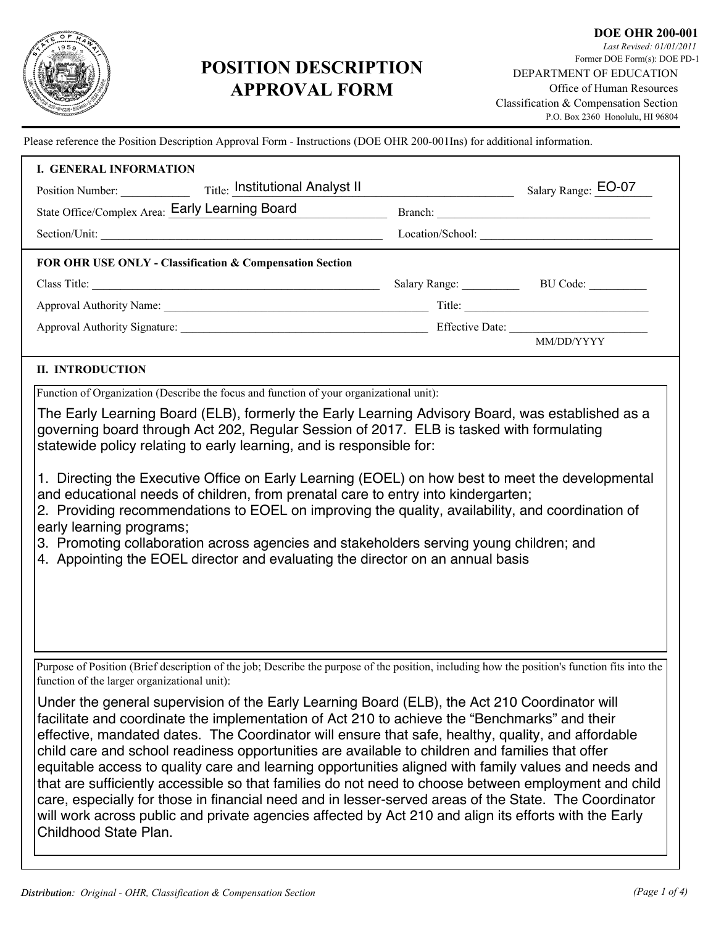

# **POSITION DESCRIPTION APPROVAL FORM**

Please reference the Position Description Approval Form - Instructions (DOE OHR 200-001Ins) for additional information.

| <b>I. GENERAL INFORMATION</b>                                                                                                                                                                                                                                                                                                                                                                                                                                                                                                                                                                                                                                                                                                                                                                                                                                      |                        |  |
|--------------------------------------------------------------------------------------------------------------------------------------------------------------------------------------------------------------------------------------------------------------------------------------------------------------------------------------------------------------------------------------------------------------------------------------------------------------------------------------------------------------------------------------------------------------------------------------------------------------------------------------------------------------------------------------------------------------------------------------------------------------------------------------------------------------------------------------------------------------------|------------------------|--|
| Title: Institutional Analyst II<br>Position Number:                                                                                                                                                                                                                                                                                                                                                                                                                                                                                                                                                                                                                                                                                                                                                                                                                | Salary Range: EO-07    |  |
| State Office/Complex Area: Early Learning Board                                                                                                                                                                                                                                                                                                                                                                                                                                                                                                                                                                                                                                                                                                                                                                                                                    |                        |  |
| Section/Unit:                                                                                                                                                                                                                                                                                                                                                                                                                                                                                                                                                                                                                                                                                                                                                                                                                                                      | Location/School:       |  |
| FOR OHR USE ONLY - Classification & Compensation Section                                                                                                                                                                                                                                                                                                                                                                                                                                                                                                                                                                                                                                                                                                                                                                                                           |                        |  |
|                                                                                                                                                                                                                                                                                                                                                                                                                                                                                                                                                                                                                                                                                                                                                                                                                                                                    | Salary Range: BU Code: |  |
|                                                                                                                                                                                                                                                                                                                                                                                                                                                                                                                                                                                                                                                                                                                                                                                                                                                                    |                        |  |
|                                                                                                                                                                                                                                                                                                                                                                                                                                                                                                                                                                                                                                                                                                                                                                                                                                                                    |                        |  |
|                                                                                                                                                                                                                                                                                                                                                                                                                                                                                                                                                                                                                                                                                                                                                                                                                                                                    |                        |  |
| <b>II. INTRODUCTION</b>                                                                                                                                                                                                                                                                                                                                                                                                                                                                                                                                                                                                                                                                                                                                                                                                                                            |                        |  |
| Function of Organization (Describe the focus and function of your organizational unit):                                                                                                                                                                                                                                                                                                                                                                                                                                                                                                                                                                                                                                                                                                                                                                            |                        |  |
| The Early Learning Board (ELB), formerly the Early Learning Advisory Board, was established as a<br>governing board through Act 202, Regular Session of 2017. ELB is tasked with formulating<br>statewide policy relating to early learning, and is responsible for:<br>1. Directing the Executive Office on Early Learning (EOEL) on how best to meet the developmental<br>and educational needs of children, from prenatal care to entry into kindergarten;<br>2. Providing recommendations to EOEL on improving the quality, availability, and coordination of<br>early learning programs;<br>3. Promoting collaboration across agencies and stakeholders serving young children; and<br>4. Appointing the EOEL director and evaluating the director on an annual basis                                                                                         |                        |  |
| Purpose of Position (Brief description of the job; Describe the purpose of the position, including how the position's function fits into the<br>function of the larger organizational unit):                                                                                                                                                                                                                                                                                                                                                                                                                                                                                                                                                                                                                                                                       |                        |  |
| Under the general supervision of the Early Learning Board (ELB), the Act 210 Coordinator will<br>facilitate and coordinate the implementation of Act 210 to achieve the "Benchmarks" and their<br>effective, mandated dates. The Coordinator will ensure that safe, healthy, quality, and affordable<br>child care and school readiness opportunities are available to children and families that offer<br>equitable access to quality care and learning opportunities aligned with family values and needs and<br>that are sufficiently accessible so that families do not need to choose between employment and child<br>care, especially for those in financial need and in lesser-served areas of the State. The Coordinator<br>will work across public and private agencies affected by Act 210 and align its efforts with the Early<br>Childhood State Plan. |                        |  |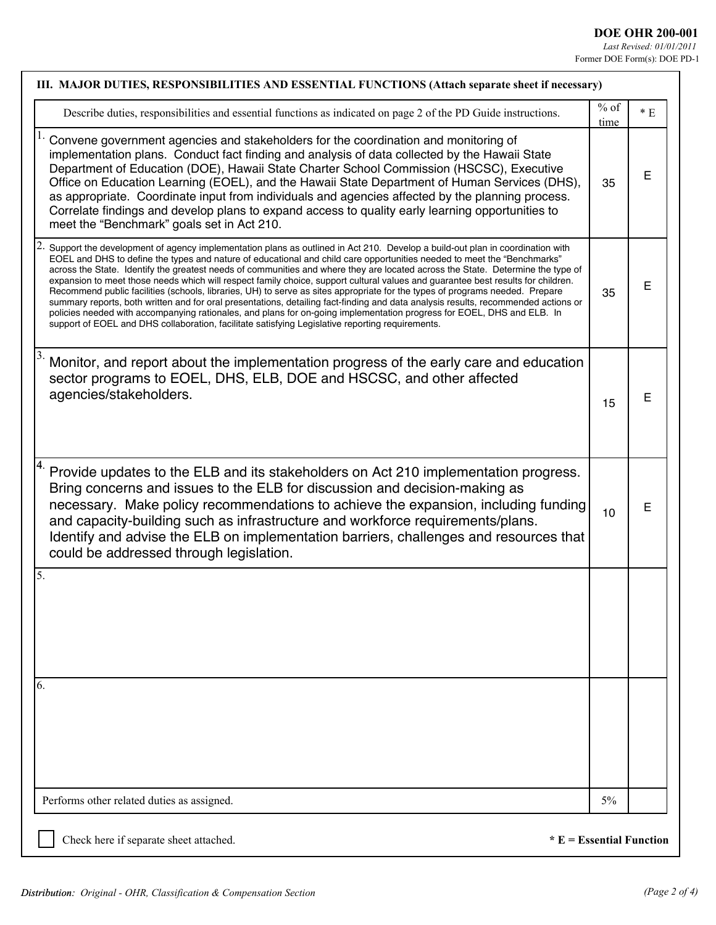| III. MAJOR DUTIES, RESPONSIBILITIES AND ESSENTIAL FUNCTIONS (Attach separate sheet if necessary)                                                                                                                                                                                                                                                                                                                                                                                                                                                                                                                                                                                                                                                                                                                                                                                                                                                                                                                                   |                |      |
|------------------------------------------------------------------------------------------------------------------------------------------------------------------------------------------------------------------------------------------------------------------------------------------------------------------------------------------------------------------------------------------------------------------------------------------------------------------------------------------------------------------------------------------------------------------------------------------------------------------------------------------------------------------------------------------------------------------------------------------------------------------------------------------------------------------------------------------------------------------------------------------------------------------------------------------------------------------------------------------------------------------------------------|----------------|------|
| Describe duties, responsibilities and essential functions as indicated on page 2 of the PD Guide instructions.                                                                                                                                                                                                                                                                                                                                                                                                                                                                                                                                                                                                                                                                                                                                                                                                                                                                                                                     | $%$ of<br>time | $*E$ |
| Convene government agencies and stakeholders for the coordination and monitoring of<br>implementation plans. Conduct fact finding and analysis of data collected by the Hawaii State<br>Department of Education (DOE), Hawaii State Charter School Commission (HSCSC), Executive<br>Office on Education Learning (EOEL), and the Hawaii State Department of Human Services (DHS),<br>as appropriate. Coordinate input from individuals and agencies affected by the planning process.<br>Correlate findings and develop plans to expand access to quality early learning opportunities to<br>meet the "Benchmark" goals set in Act 210.                                                                                                                                                                                                                                                                                                                                                                                            | 35             | E    |
| Support the development of agency implementation plans as outlined in Act 210. Develop a build-out plan in coordination with<br>EOEL and DHS to define the types and nature of educational and child care opportunities needed to meet the "Benchmarks"<br>across the State. Identify the greatest needs of communities and where they are located across the State. Determine the type of<br>expansion to meet those needs which will respect family choice, support cultural values and guarantee best results for children.<br>Recommend public facilities (schools, libraries, UH) to serve as sites appropriate for the types of programs needed. Prepare<br>summary reports, both written and for oral presentations, detailing fact-finding and data analysis results, recommended actions or<br>policies needed with accompanying rationales, and plans for on-going implementation progress for EOEL, DHS and ELB. In<br>support of EOEL and DHS collaboration, facilitate satisfying Legislative reporting requirements. | 35             | E    |
| Monitor, and report about the implementation progress of the early care and education<br>sector programs to EOEL, DHS, ELB, DOE and HSCSC, and other affected<br>agencies/stakeholders.                                                                                                                                                                                                                                                                                                                                                                                                                                                                                                                                                                                                                                                                                                                                                                                                                                            | 15             | E    |
| Provide updates to the ELB and its stakeholders on Act 210 implementation progress.<br>Bring concerns and issues to the ELB for discussion and decision-making as<br>necessary. Make policy recommendations to achieve the expansion, including funding<br>and capacity-building such as infrastructure and workforce requirements/plans.<br>Identify and advise the ELB on implementation barriers, challenges and resources that<br>could be addressed through legislation.                                                                                                                                                                                                                                                                                                                                                                                                                                                                                                                                                      | 10             | E    |
| 5.                                                                                                                                                                                                                                                                                                                                                                                                                                                                                                                                                                                                                                                                                                                                                                                                                                                                                                                                                                                                                                 |                |      |
|                                                                                                                                                                                                                                                                                                                                                                                                                                                                                                                                                                                                                                                                                                                                                                                                                                                                                                                                                                                                                                    |                |      |
|                                                                                                                                                                                                                                                                                                                                                                                                                                                                                                                                                                                                                                                                                                                                                                                                                                                                                                                                                                                                                                    |                |      |
| 6.                                                                                                                                                                                                                                                                                                                                                                                                                                                                                                                                                                                                                                                                                                                                                                                                                                                                                                                                                                                                                                 |                |      |
|                                                                                                                                                                                                                                                                                                                                                                                                                                                                                                                                                                                                                                                                                                                                                                                                                                                                                                                                                                                                                                    |                |      |
|                                                                                                                                                                                                                                                                                                                                                                                                                                                                                                                                                                                                                                                                                                                                                                                                                                                                                                                                                                                                                                    |                |      |
|                                                                                                                                                                                                                                                                                                                                                                                                                                                                                                                                                                                                                                                                                                                                                                                                                                                                                                                                                                                                                                    |                |      |

Check here if separate sheet attached. **\*** E = Essential Function

l.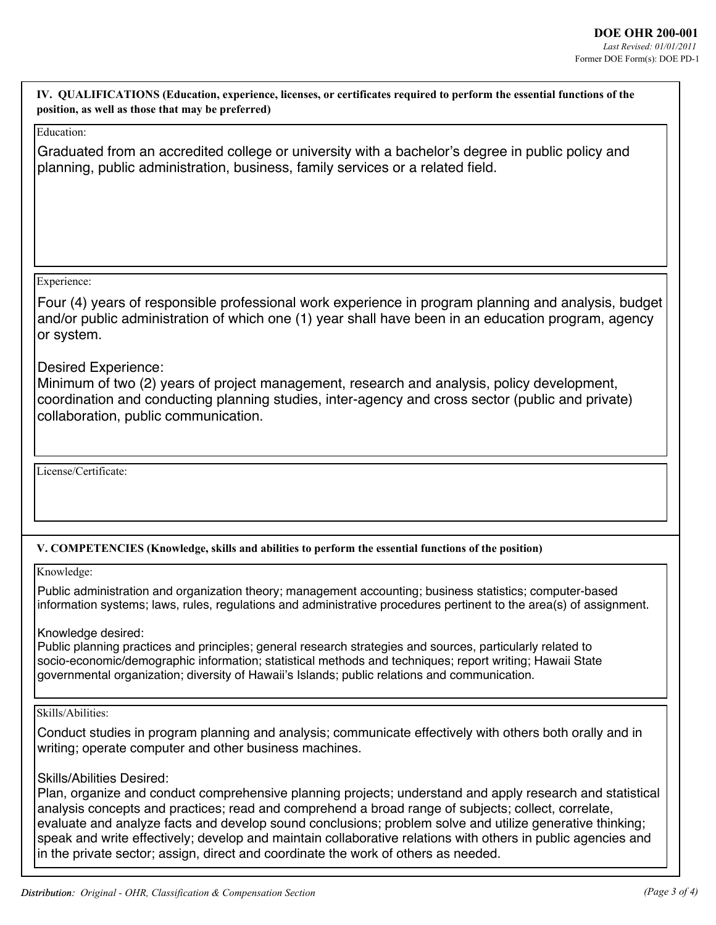**IV. QUALIFICATIONS (Education, experience, licenses, or certificates required to perform the essential functions of the position, as well as those that may be preferred)**

## Education:

Graduated from an accredited college or university with a bachelor's degree in public policy and planning, public administration, business, family services or a related field.

#### Experience:

Four (4) years of responsible professional work experience in program planning and analysis, budget and/or public administration of which one (1) year shall have been in an education program, agency or system.

## Desired Experience:

Minimum of two (2) years of project management, research and analysis, policy development, coordination and conducting planning studies, inter-agency and cross sector (public and private) collaboration, public communication.

License/Certificate:

## **V. COMPETENCIES (Knowledge, skills and abilities to perform the essential functions of the position)**

Knowledge:

Public administration and organization theory; management accounting; business statistics; computer-based information systems; laws, rules, regulations and administrative procedures pertinent to the area(s) of assignment.

Knowledge desired:

Public planning practices and principles; general research strategies and sources, particularly related to socio-economic/demographic information; statistical methods and techniques; report writing; Hawaii State governmental organization; diversity of Hawaii's Islands; public relations and communication.

Skills/Abilities:

Conduct studies in program planning and analysis; communicate effectively with others both orally and in writing; operate computer and other business machines.

# Skills/Abilities Desired:

Plan, organize and conduct comprehensive planning projects; understand and apply research and statistical analysis concepts and practices; read and comprehend a broad range of subjects; collect, correlate, evaluate and analyze facts and develop sound conclusions; problem solve and utilize generative thinking; speak and write effectively; develop and maintain collaborative relations with others in public agencies and in the private sector; assign, direct and coordinate the work of others as needed.